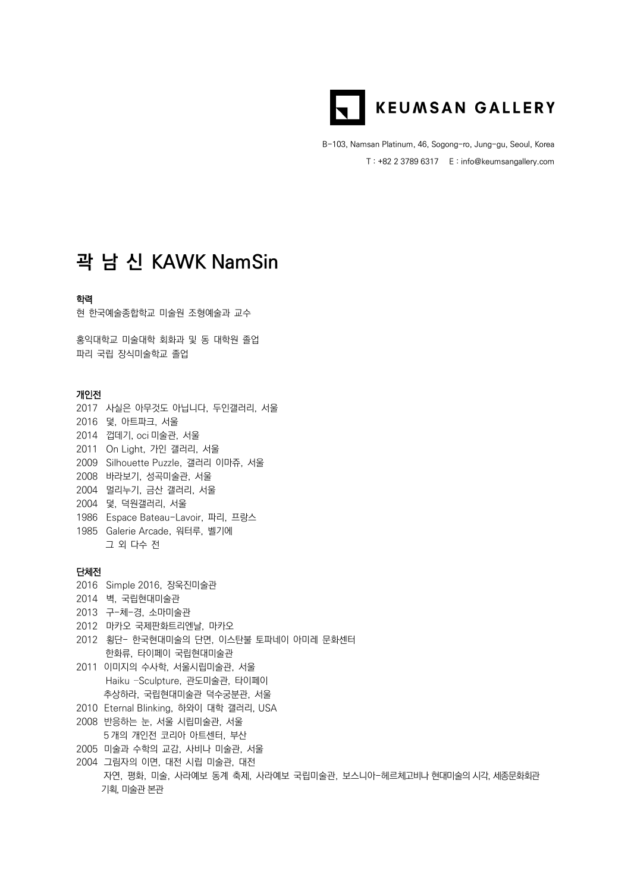

B-103, Namsan Platinum, 46, Sogong-ro, Jung-gu, Seoul, Korea T : +82 2 3789 6317 E : info@keumsangallery.com

# **곽 남 신 KAWK NamSin**

#### 학력

현 한국예술종합학교 미술원 조형예술과 교수

홍익대학교 미술대학 회화과 및 동 대학원 졸업 파리 국립 장식미술학교 졸업

#### 개인전

2017 사실은 아무것도 아닙니다, 두인갤러리, 서울 2016 덫, 아트파크, 서울 2014 껍데기, oci 미술관, 서울 2011 On Light, 가인 갤러리, 서울 2009 Silhouette Puzzle, 갤러리 이마쥬, 서울 2008 바라보기, 성곡미술관, 서울 2004 멀리누기, 금산 갤러리, 서울 2004 덫, 덕원갤러리, 서울 1986 Espace Bateau-Lavoir, 파리, 프랑스 1985 Galerie Arcade, 워터루, 벨기에 그 외 다수 전

## 단체전

- 2016 Simple 2016, 장욱진미술관
- 2014 벽, 국립현대미술관
- 2013 구-체-경, 소마미술관
- 2012 마카오 국제판화트리엔날, 마카오
- 2012 횡단- 한국현대미술의 단면, 이스탄불 토파네이 아미레 문화센터 한화류, 타이페이 국립현대미술관
- 2011 이미지의 수사학, 서울시립미술관, 서울 Haiku –Sculpture, 관도미술관, 타이페이 추상하라, 국립현대미술관 덕수궁분관, 서울
- 2010 Eternal Blinking, 하와이 대학 갤러리, USA
- 2008 반응하는 눈, 서울 시립미술관, 서울
- 5 개의 개인전 코리아 아트센터, 부산
- 2005 미술과 수학의 교감, 사비나 미술관, 서울
- 2004 그림자의 이면, 대전 시립 미술관, 대전 자연, 평화, 미술, 사라예보 동계 축제, 사라예보 국립미술관, 보스니아-헤르체고비나 현대미술의 시각, 세종문화회관 기획, 미술관 본관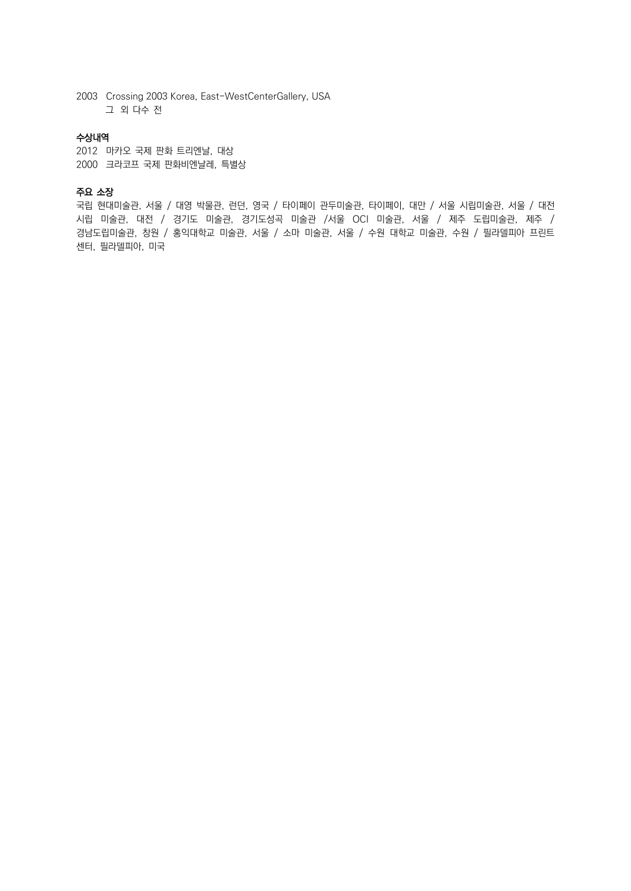2003 Crossing 2003 Korea, East-WestCenterGallery, USA 그 외 다수 전

### 수상내역

2012 마카오 국제 판화 트리엔날, 대상 2000 크라코프 국제 판화비엔날레, 특별상

### 주요 소장

국립 현대미술관, 서울 / 대영 박물관, 런던, 영국 / 타이페이 관두미술관, 타이페이, 대만 / 서울 시립미술관, 서울 / 대전 시립 미술관, 대전 / 경기도 미술관, 경기도성곡 미술관 /서울 OCI 미술관, 서울 / 제주 도립미술관, 제주 / 경남도립미술관, 창원 / 홍익대학교 미술관, 서울 / 소마 미술관, 서울 / 수원 대학교 미술관, 수원 / 필라델피아 프린트 센터, 필라델피아, 미국